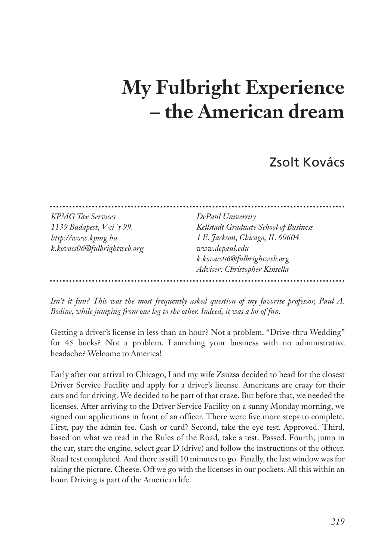# **My Fulbright Experience – the American dream**

## Zsolt Kovács

| <b>KPMG</b> Tax Services     | DePaul University                     |
|------------------------------|---------------------------------------|
| 1139 Budapest, $V$ -ci t 99. | Kellstadt Graduate School of Business |
| http://www.kpmg.hu           | 1 E. Jackson, Chicago, IL 60604       |
| k.kovacs06@fulbrightweb.org  | www.depaul.edu                        |
|                              | k.kovacs06@fulbrightweb.org           |
|                              | Adviser: Christopher Kinsella         |

*Isn't it fun? This was the most frequently asked question of my favorite professor, Paul A. Bodine, while jumping from one leg to the other. Indeed, it was a lot of fun.*

Getting a driver's license in less than an hour? Not a problem. "Drive-thru Wedding" for 45 bucks? Not a problem. Launching your business with no administrative headache? Welcome to America!

Early after our arrival to Chicago, I and my wife Zsuzsa decided to head for the closest Driver Service Facility and apply for a driver's license. Americans are crazy for their cars and for driving. We decided to be part of that craze. But before that, we needed the licenses. After arriving to the Driver Service Facility on a sunny Monday morning, we signed our applications in front of an officer. There were five more steps to complete. First, pay the admin fee. Cash or card? Second, take the eye test. Approved. Third, based on what we read in the Rules of the Road, take a test. Passed. Fourth, jump in the car, start the engine, select gear D (drive) and follow the instructions of the officer. Road test completed. And there is still 10 minutes to go. Finally, the last window was for taking the picture. Cheese. Off we go with the licenses in our pockets. All this within an hour. Driving is part of the American life.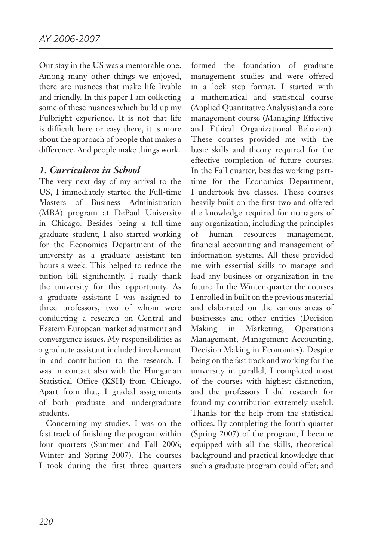Our stay in the US was a memorable one. Among many other things we enjoyed, there are nuances that make life livable and friendly. In this paper I am collecting some of these nuances which build up my Fulbright experience. It is not that life is difficult here or easy there, it is more about the approach of people that makes a difference. And people make things work.

### *1. Curriculum in School*

The very next day of my arrival to the US, I immediately started the Full-time Masters of Business Administration (MBA) program at DePaul University in Chicago. Besides being a full-time graduate student, I also started working for the Economics Department of the university as a graduate assistant ten hours a week. This helped to reduce the tuition bill significantly. I really thank the university for this opportunity. As a graduate assistant I was assigned to three professors, two of whom were conducting a research on Central and Eastern European market adjustment and convergence issues. My responsibilities as a graduate assistant included involvement in and contribution to the research. I was in contact also with the Hungarian Statistical Office (KSH) from Chicago. Apart from that, I graded assignments of both graduate and undergraduate students.

Concerning my studies, I was on the fast track of finishing the program within four quarters (Summer and Fall 2006; Winter and Spring 2007). The courses I took during the first three quarters formed the foundation of graduate management studies and were offered in a lock step format. I started with a mathematical and statistical course (Applied Quantitative Analysis) and a core management course (Managing Effective and Ethical Organizational Behavior). These courses provided me with the basic skills and theory required for the effective completion of future courses. In the Fall quarter, besides working parttime for the Economics Department, I undertook five classes. These courses heavily built on the first two and offered the knowledge required for managers of any organization, including the principles of human resources management, financial accounting and management of information systems. All these provided me with essential skills to manage and lead any business or organization in the future. In the Winter quarter the courses I enrolled in built on the previous material and elaborated on the various areas of businesses and other entities (Decision Making in Marketing, Operations Management, Management Accounting, Decision Making in Economics). Despite being on the fast track and working for the university in parallel, I completed most of the courses with highest distinction, and the professors I did research for found my contribution extremely useful. Thanks for the help from the statistical offices. By completing the fourth quarter (Spring 2007) of the program, I became equipped with all the skills, theoretical background and practical knowledge that such a graduate program could offer; and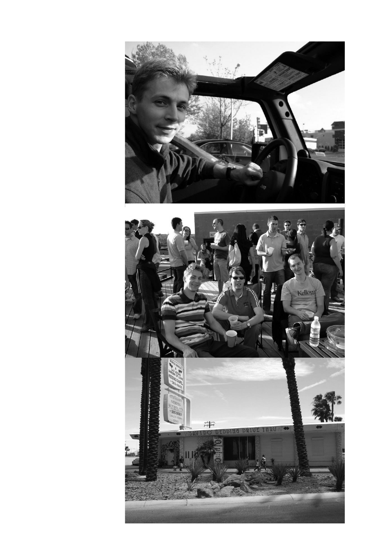

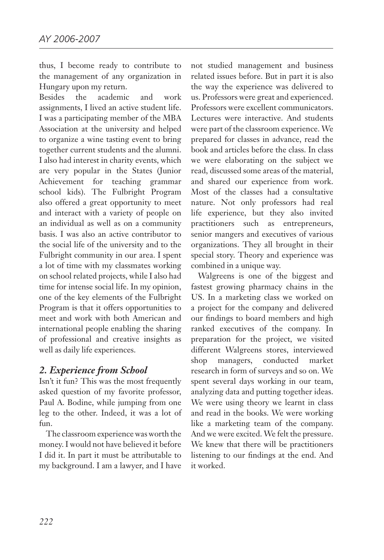thus, I become ready to contribute to the management of any organization in Hungary upon my return.

Besides the academic and work assignments, I lived an active student life. I was a participating member of the MBA Association at the university and helped to organize a wine tasting event to bring together current students and the alumni. I also had interest in charity events, which are very popular in the States (Junior Achievement for teaching grammar school kids). The Fulbright Program also offered a great opportunity to meet and interact with a variety of people on an individual as well as on a community basis. I was also an active contributor to the social life of the university and to the Fulbright community in our area. I spent a lot of time with my classmates working on school related projects, while I also had time for intense social life. In my opinion, one of the key elements of the Fulbright Program is that it offers opportunities to meet and work with both American and international people enabling the sharing of professional and creative insights as well as daily life experiences.

#### *2. Experience from School*

Isn't it fun? This was the most frequently asked question of my favorite professor, Paul A. Bodine, while jumping from one leg to the other. Indeed, it was a lot of fun.

The classroom experience was worth the money. I would not have believed it before I did it. In part it must be attributable to my background. I am a lawyer, and I have

not studied management and business related issues before. But in part it is also the way the experience was delivered to us. Professors were great and experienced. Professors were excellent communicators. Lectures were interactive. And students were part of the classroom experience. We prepared for classes in advance, read the book and articles before the class. In class we were elaborating on the subject we read, discussed some areas of the material, and shared our experience from work. Most of the classes had a consultative nature. Not only professors had real life experience, but they also invited practitioners such as entrepreneurs, senior mangers and executives of various organizations. They all brought in their special story. Theory and experience was combined in a unique way.

Walgreens is one of the biggest and fastest growing pharmacy chains in the US. In a marketing class we worked on a project for the company and delivered our findings to board members and high ranked executives of the company. In preparation for the project, we visited different Walgreens stores, interviewed shop managers, conducted market research in form of surveys and so on. We spent several days working in our team, analyzing data and putting together ideas. We were using theory we learnt in class and read in the books. We were working like a marketing team of the company. And we were excited. We felt the pressure. We knew that there will be practitioners listening to our findings at the end. And it worked.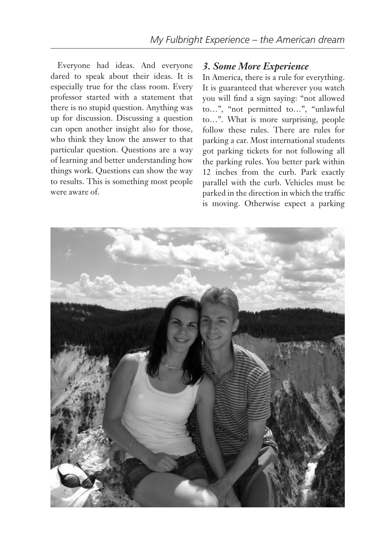Everyone had ideas. And everyone dared to speak about their ideas. It is especially true for the class room. Every professor started with a statement that there is no stupid question. Anything was up for discussion. Discussing a question can open another insight also for those, who think they know the answer to that particular question. Questions are a way of learning and better understanding how things work. Questions can show the way to results. This is something most people were aware of.

#### *3. Some More Experience*

In America, there is a rule for everything. It is guaranteed that wherever you watch you will find a sign saying: "not allowed to…", "not permitted to…", "unlawful to…". What is more surprising, people follow these rules. There are rules for parking a car. Most international students got parking tickets for not following all the parking rules. You better park within 12 inches from the curb. Park exactly parallel with the curb. Vehicles must be parked in the direction in which the traffic is moving. Otherwise expect a parking